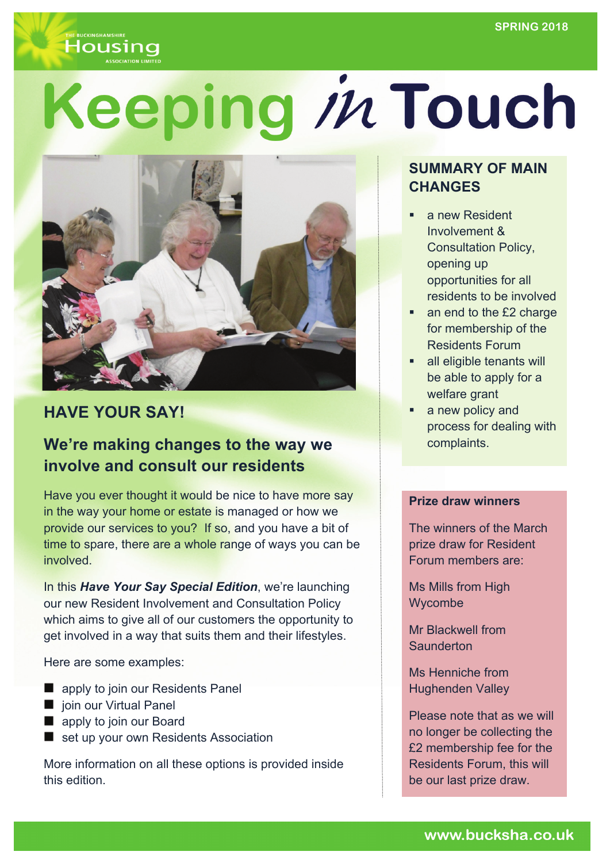

# Keeping in Touch



# **HAVE YOUR SAY!**

# **We're making changes to the way we involve and consult our residents**

Have you ever thought it would be nice to have more say in the way your home or estate is managed or how we provide our services to you? If so, and you have a bit of time to spare, there are a whole range of ways you can be involved.

In this *Have Your Say Special Edition*, we're launching our new Resident Involvement and Consultation Policy which aims to give all of our customers the opportunity to get involved in a way that suits them and their lifestyles.

Here are some examples:

- **E** apply to join our Residents Panel
- ioin our Virtual Panel
- **E** apply to join our Board
- set up your own Residents Association

More information on all these options is provided inside this edition.

## **SUMMARY OF MAIN CHANGES**

- a new Resident Involvement & Consultation Policy, opening up opportunities for all residents to be involved
- an end to the £2 charge for membership of the Residents Forum
- **all eligible tenants will** be able to apply for a welfare grant
- a new policy and process for dealing with complaints.

#### **Prize draw winners**

The winners of the March prize draw for Resident Forum members are:

Ms Mills from High Wycombe

Mr Blackwell from **Saunderton** 

Ms Henniche from Hughenden Valley

Please note that as we will no longer be collecting the £2 membership fee for the Residents Forum, this will be our last prize draw.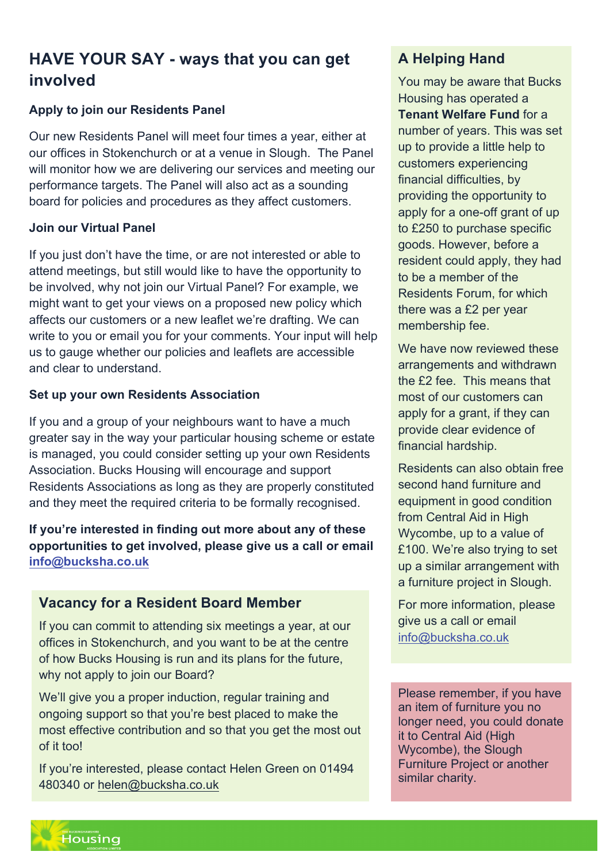# **HAVE YOUR SAY - ways that you can get involved**

#### **Apply to join our Residents Panel**

Our new Residents Panel will meet four times a year, either at our offices in Stokenchurch or at a venue in Slough. The Panel will monitor how we are delivering our services and meeting our performance targets. The Panel will also act as a sounding board for policies and procedures as they affect customers.

#### **Join our Virtual Panel**

If you just don't have the time, or are not interested or able to attend meetings, but still would like to have the opportunity to be involved, why not join our Virtual Panel? For example, we might want to get your views on a proposed new policy which affects our customers or a new leaflet we're drafting. We can write to you or email you for your comments. Your input will help us to gauge whether our policies and leaflets are accessible and clear to understand.

#### **Set up your own Residents Association**

If you and a group of your neighbours want to have a much greater say in the way your particular housing scheme or estate is managed, you could consider setting up your own Residents Association. Bucks Housing will encourage and support Residents Associations as long as they are properly constituted and they meet the required criteria to be formally recognised.

**If you're interested in finding out more about any of these opportunities to get involved, please give us a call or email info@bucksha.co.uk**

#### **Vacancy for a Resident Board Member**

If you can commit to attending six meetings a year, at our offices in Stokenchurch, and you want to be at the centre of how Bucks Housing is run and its plans for the future, why not apply to join our Board?

We'll give you a proper induction, regular training and ongoing support so that you're best placed to make the most effective contribution and so that you get the most out of it too!

If you're interested, please contact Helen Green on 01494 480340 or helen@bucksha.co.uk

## **A Helping Hand**

You may be aware that Bucks Housing has operated a **Tenant Welfare Fund** for a number of years. This was set up to provide a little help to customers experiencing financial difficulties, by providing the opportunity to apply for a one-off grant of up to £250 to purchase specific goods. However, before a resident could apply, they had to be a member of the Residents Forum, for which there was a £2 per year membership fee.

We have now reviewed these arrangements and withdrawn the £2 fee. This means that most of our customers can apply for a grant, if they can provide clear evidence of financial hardship.

Residents can also obtain free second hand furniture and equipment in good condition from Central Aid in High Wycombe, up to a value of £100. We're also trying to set up a similar arrangement with a furniture project in Slough.

For more information, please give us a call or email info@bucksha.co.uk

Please remember, if you have an item of furniture you no longer need, you could donate it to Central Aid (High Wycombe), the Slough Furniture Project or another similar charity.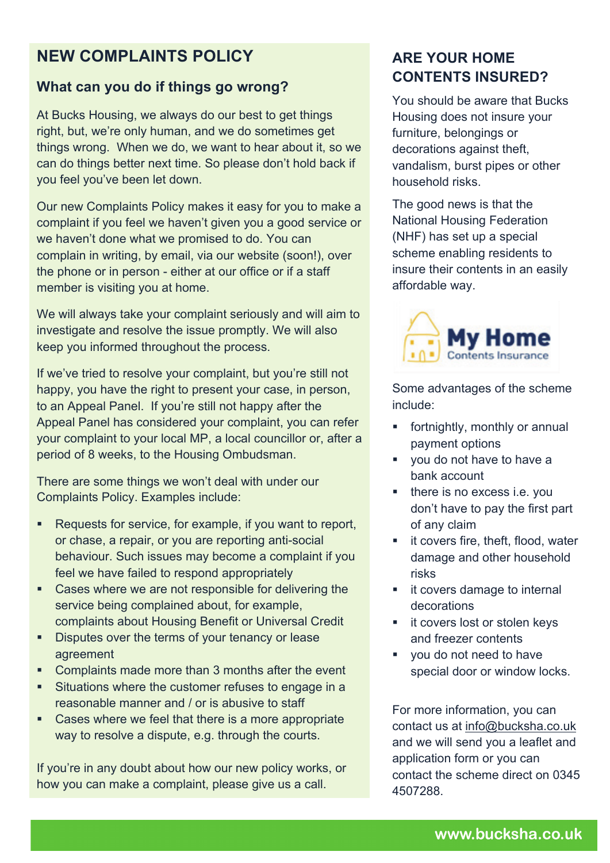# **NEW COMPLAINTS POLICY**

#### **What can you do if things go wrong?**

At Bucks Housing, we always do our best to get things right, but, we're only human, and we do sometimes get things wrong. When we do, we want to hear about it, so we can do things better next time. So please don't hold back if you feel you've been let down.

Our new Complaints Policy makes it easy for you to make a complaint if you feel we haven't given you a good service or we haven't done what we promised to do. You can complain in writing, by email, via our website (soon!), over the phone or in person - either at our office or if a staff member is visiting you at home.

We will always take your complaint seriously and will aim to investigate and resolve the issue promptly. We will also keep you informed throughout the process.

If we've tried to resolve your complaint, but you're still not happy, you have the right to present your case, in person, to an Appeal Panel. If you're still not happy after the Appeal Panel has considered your complaint, you can refer your complaint to your local MP, a local councillor or, after a period of 8 weeks, to the Housing Ombudsman.

There are some things we won't deal with under our Complaints Policy. Examples include:

- ! Requests for service, for example, if you want to report, or chase, a repair, or you are reporting anti-social behaviour. Such issues may become a complaint if you feel we have failed to respond appropriately
- ! Cases where we are not responsible for delivering the service being complained about, for example, complaints about Housing Benefit or Universal Credit
- **EXECUTE:** Disputes over the terms of your tenancy or lease agreement
- Complaints made more than 3 months after the event
- ! Situations where the customer refuses to engage in a reasonable manner and / or is abusive to staff
- ! Cases where we feel that there is a more appropriate way to resolve a dispute, e.g. through the courts.

If you're in any doubt about how our new policy works, or how you can make a complaint, please give us a call.

## **ARE YOUR HOME CONTENTS INSURED?**

You should be aware that Bucks Housing does not insure your furniture, belongings or decorations against theft, vandalism, burst pipes or other household risks.

The good news is that the National Housing Federation (NHF) has set up a special scheme enabling residents to insure their contents in an easily affordable way.



Some advantages of the scheme include:

- ! fortnightly, monthly or annual payment options
- ! you do not have to have a bank account
- ! there is no excess i.e. you don't have to pay the first part of any claim
- **If covers fire, theft, flood, water** damage and other household risks
- ! it covers damage to internal decorations
- **EXECOVER SEXT IN STREE IS NOT STATE IN STREE** and freezer contents
- ! you do not need to have special door or window locks.

For more information, you can contact us at info@bucksha.co.uk and we will send you a leaflet and application form or you can contact the scheme direct on 0345 4507288.